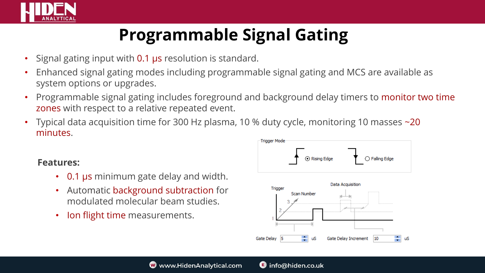

## **Programmable Signal Gating**

- Signal gating input with 0.1 µs resolution is standard.
- Enhanced signal gating modes including programmable signal gating and MCS are available as system options or upgrades.
- Programmable signal gating includes foreground and background delay timers to monitor two time zones with respect to a relative repeated event.
- Typical data acquisition time for 300 Hz plasma, 10 % duty cycle, monitoring 10 masses ~20 minutes.

## **Features:**

- 0.1 µs minimum gate delay and width.
- Automatic background subtraction for modulated molecular beam studies.
- Ion flight time measurements.